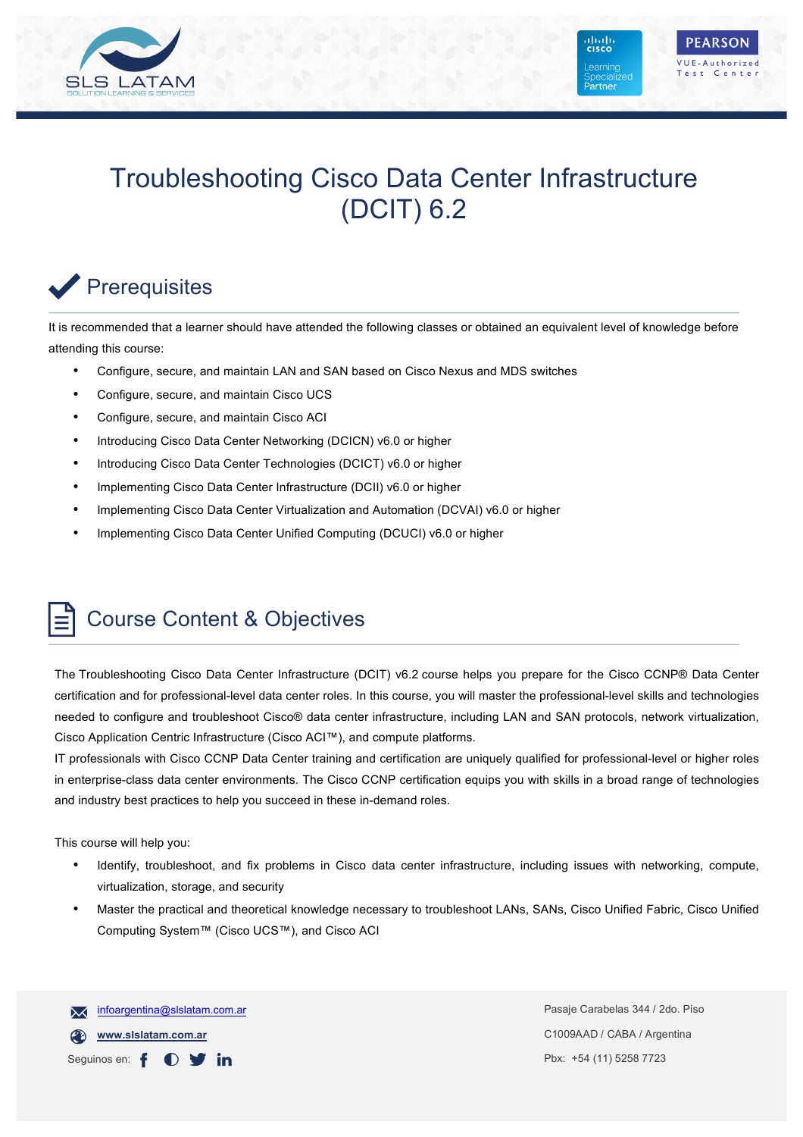

# Troubleshooting Cisco Data Center Infrastructure (DCIT) 6.2

## Prerequisites

It is recommended that a learner should have attended the following classes or obtained an equivalent level of knowledge before attending this course:

- Configure, secure, and maintain LAN and SAN based on Cisco Nexus and MDS switches
- Configure, secure, and maintain Cisco UCS
- Configure, secure, and maintain Cisco ACI
- Introducing Cisco Data Center Networking (DCICN) v6.0 or higher
- Introducing Cisco Data Center Technologies (DCICT) v6.0 or higher
- Implementing Cisco Data Center Infrastructure (DCII) v6.0 or higher
- Implementing Cisco Data Center Virtualization and Automation (DCVAI) v6.0 or higher
- Implementing Cisco Data Center Unified Computing (DCUCI) v6.0 or higher

### Course Content & Objectives

The Troubleshooting Cisco Data Center Infrastructure (DCIT) v6.2 course helps you prepare for the Cisco CCNP® Data Center certification and for professional-level data center roles. In this course, you will master the professional-level skills and technologies needed to configure and troubleshoot Cisco® data center infrastructure, including LAN and SAN protocols, network virtualization, Cisco Application Centric Infrastructure (Cisco ACI™), and compute platforms.

IT professionals with Cisco CCNP Data Center training and certification are uniquely qualified for professional-level or higher roles in enterprise-class data center environments. The Cisco CCNP certification equips you with skills in a broad range of technologies and industry best practices to help you succeed in these in-demand roles.

This course will help you:

- Identify, troubleshoot, and fix problems in Cisco data center infrastructure, including issues with networking, compute, virtualization, storage, and security
- Master the practical and theoretical knowledge necessary to troubleshoot LANs, SANs, Cisco Unified Fabric, Cisco Unified Computing System™ (Cisco UCS™), and Cisco ACI

infoargentina@slslatam.com.ar  $\overline{\mathsf{x}}$ **www.slslatam.com.ar** Seguinos en: f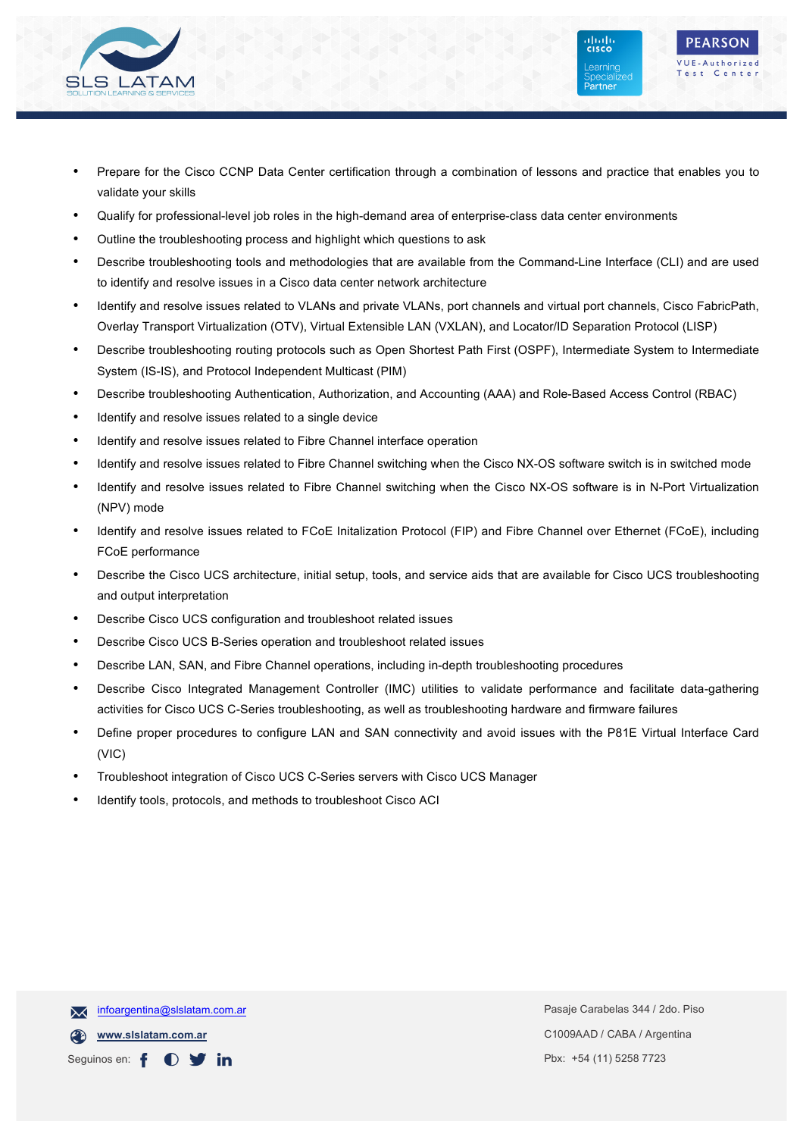

• Prepare for the Cisco CCNP Data Center certification through a combination of lessons and practice that enables you to validate your skills

ahah.<br>Rusco

Learning

Partner

**PEARSON** VUF-Authorized

Test Center

- Qualify for professional-level job roles in the high-demand area of enterprise-class data center environments
- Outline the troubleshooting process and highlight which questions to ask
- Describe troubleshooting tools and methodologies that are available from the Command-Line Interface (CLI) and are used to identify and resolve issues in a Cisco data center network architecture
- Identify and resolve issues related to VLANs and private VLANs, port channels and virtual port channels, Cisco FabricPath, Overlay Transport Virtualization (OTV), Virtual Extensible LAN (VXLAN), and Locator/ID Separation Protocol (LISP)
- Describe troubleshooting routing protocols such as Open Shortest Path First (OSPF), Intermediate System to Intermediate System (IS-IS), and Protocol Independent Multicast (PIM)
- Describe troubleshooting Authentication, Authorization, and Accounting (AAA) and Role-Based Access Control (RBAC)
- Identify and resolve issues related to a single device
- Identify and resolve issues related to Fibre Channel interface operation
- Identify and resolve issues related to Fibre Channel switching when the Cisco NX-OS software switch is in switched mode
- Identify and resolve issues related to Fibre Channel switching when the Cisco NX-OS software is in N-Port Virtualization (NPV) mode
- Identify and resolve issues related to FCoE Initalization Protocol (FIP) and Fibre Channel over Ethernet (FCoE), including FCoE performance
- Describe the Cisco UCS architecture, initial setup, tools, and service aids that are available for Cisco UCS troubleshooting and output interpretation
- Describe Cisco UCS configuration and troubleshoot related issues
- Describe Cisco UCS B-Series operation and troubleshoot related issues
- Describe LAN, SAN, and Fibre Channel operations, including in-depth troubleshooting procedures
- Describe Cisco Integrated Management Controller (IMC) utilities to validate performance and facilitate data-gathering activities for Cisco UCS C-Series troubleshooting, as well as troubleshooting hardware and firmware failures
- Define proper procedures to configure LAN and SAN connectivity and avoid issues with the P81E Virtual Interface Card (VIC)
- Troubleshoot integration of Cisco UCS C-Series servers with Cisco UCS Manager
- Identify tools, protocols, and methods to troubleshoot Cisco ACI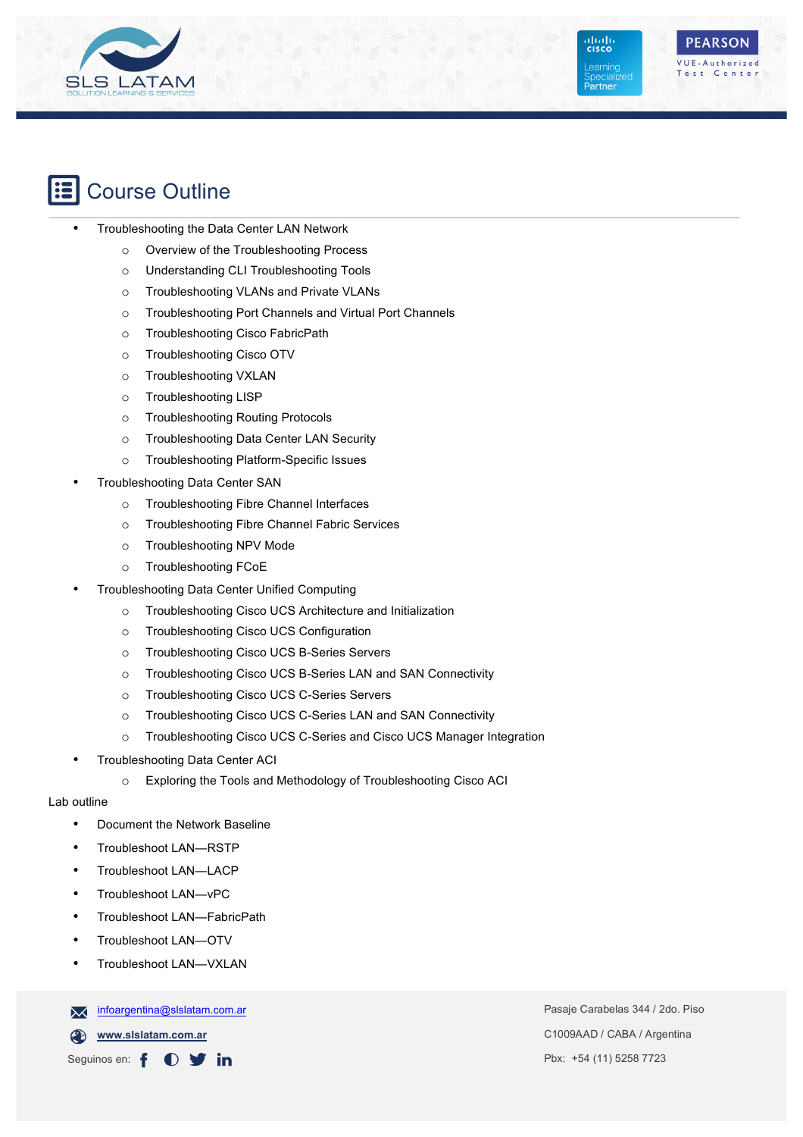

## Course Outline

- Troubleshooting the Data Center LAN Network
	- o Overview of the Troubleshooting Process
	- o Understanding CLI Troubleshooting Tools
	- o Troubleshooting VLANs and Private VLANs
	- o Troubleshooting Port Channels and Virtual Port Channels
	- o Troubleshooting Cisco FabricPath
	- o Troubleshooting Cisco OTV
	- o Troubleshooting VXLAN
	- o Troubleshooting LISP
	- o Troubleshooting Routing Protocols
	- o Troubleshooting Data Center LAN Security
	- o Troubleshooting Platform-Specific Issues
- Troubleshooting Data Center SAN
	- o Troubleshooting Fibre Channel Interfaces
	- o Troubleshooting Fibre Channel Fabric Services
	- o Troubleshooting NPV Mode
	- o Troubleshooting FCoE
- Troubleshooting Data Center Unified Computing
	- o Troubleshooting Cisco UCS Architecture and Initialization
	- o Troubleshooting Cisco UCS Configuration
	- o Troubleshooting Cisco UCS B-Series Servers
	- o Troubleshooting Cisco UCS B-Series LAN and SAN Connectivity
	- o Troubleshooting Cisco UCS C-Series Servers
	- o Troubleshooting Cisco UCS C-Series LAN and SAN Connectivity
	- o Troubleshooting Cisco UCS C-Series and Cisco UCS Manager Integration
- Troubleshooting Data Center ACI
	- o Exploring the Tools and Methodology of Troubleshooting Cisco ACI

#### Lab outline

- Document the Network Baseline
- Troubleshoot LAN—RSTP
- Troubleshoot LAN—LACP
- Troubleshoot LAN—vPC
- Troubleshoot LAN—FabricPath
- Troubleshoot LAN—OTV
- Troubleshoot LAN—VXLAN

infoargentina@slslatam.com.ar  $\overline{\mathsf{x}}$ 

**www.slslatam.com.ar**

Seguinos en: f  $\bullet$  $\mathbf y$  in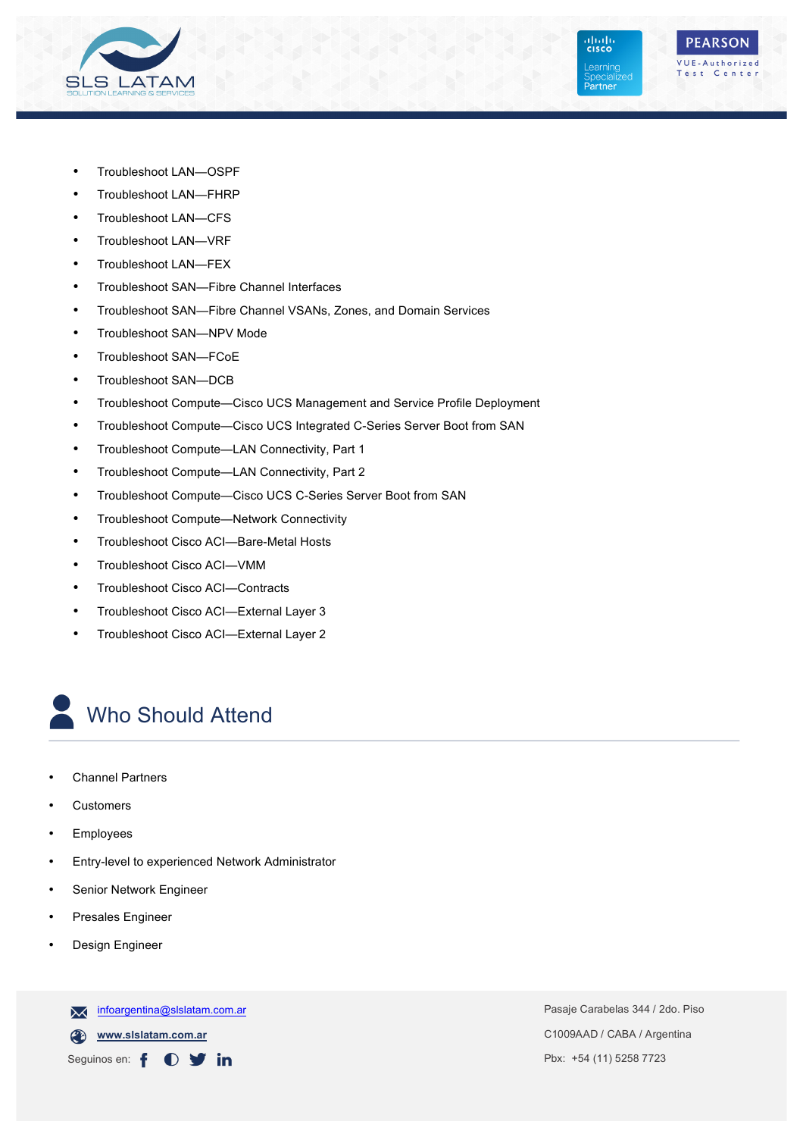

aliah)<br>Icisco **PEARSON** VUE-Authorized Learning Test Center Partner

- Troubleshoot LAN—OSPF
- Troubleshoot LAN—FHRP
- Troubleshoot LAN—CFS
- Troubleshoot LAN—VRF
- Troubleshoot LAN—FEX
- Troubleshoot SAN—Fibre Channel Interfaces
- Troubleshoot SAN—Fibre Channel VSANs, Zones, and Domain Services
- Troubleshoot SAN—NPV Mode
- Troubleshoot SAN—FCoE
- Troubleshoot SAN—DCB
- Troubleshoot Compute—Cisco UCS Management and Service Profile Deployment
- Troubleshoot Compute—Cisco UCS Integrated C-Series Server Boot from SAN
- Troubleshoot Compute—LAN Connectivity, Part 1
- Troubleshoot Compute—LAN Connectivity, Part 2
- Troubleshoot Compute—Cisco UCS C-Series Server Boot from SAN
- Troubleshoot Compute—Network Connectivity
- Troubleshoot Cisco ACI—Bare-Metal Hosts
- Troubleshoot Cisco ACI—VMM
- Troubleshoot Cisco ACI—Contracts
- Troubleshoot Cisco ACI—External Layer 3
- Troubleshoot Cisco ACI—External Layer 2

## Who Should Attend

- Channel Partners
- **Customers**
- **Employees**
- Entry-level to experienced Network Administrator
- Senior Network Engineer
- Presales Engineer
- Design Engineer

**www.slslatam.com.ar**

Seguinos en: f **O y** in